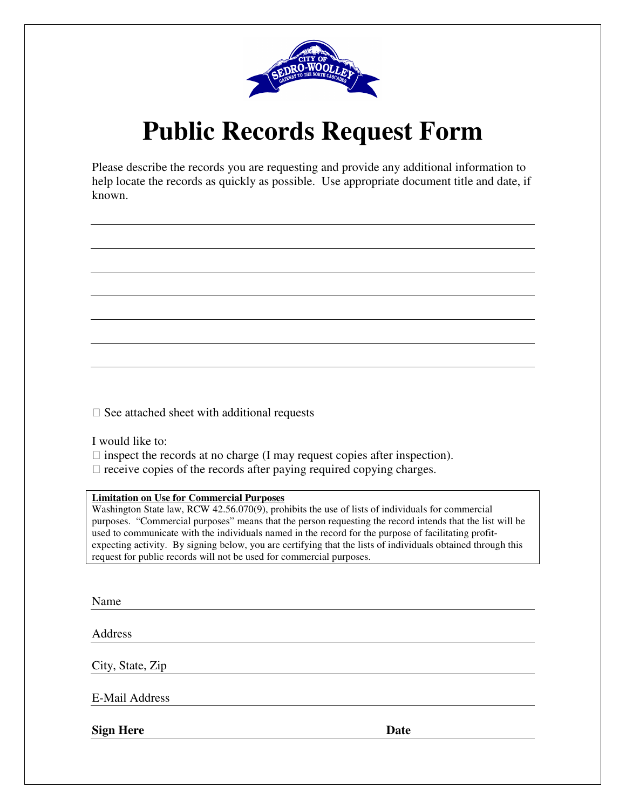

# **Public Records Request Form**

Please describe the records you are requesting and provide any additional information to help locate the records as quickly as possible. Use appropriate document title and date, if known.

 $\square$  See attached sheet with additional requests

I would like to:

- $\Box$  inspect the records at no charge (I may request copies after inspection).
- $\Box$  receive copies of the records after paying required copying charges.

#### **Limitation on Use for Commercial Purposes**

Washington State law, RCW  $42.56.070(9)$ , prohibits the use of lists of individuals for commercial purposes. "Commercial purposes" means that the person requesting the record intends that the list will be used to communicate with the individuals named in the record for the purpose of facilitating profitexpecting activity. By signing below, you are certifying that the lists of individuals obtained through this request for public records will not be used for commercial purposes.

Name

Address

City, State, Zip

E-Mail Address

**Sign Here** Date